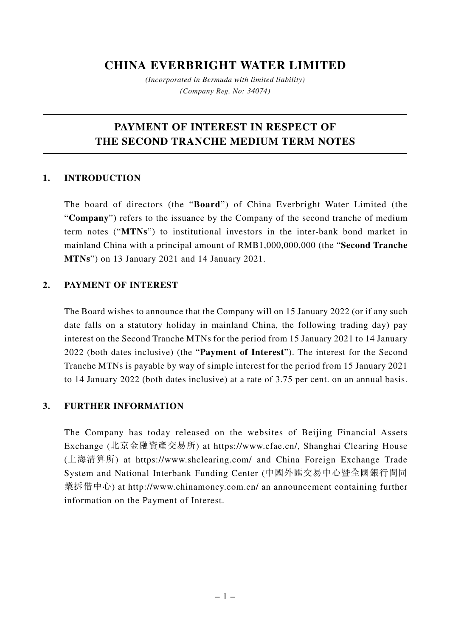# **CHINA EVERBRIGHT WATER LIMITED**

*(Incorporated in Bermuda with limited liability) (Company Reg. No: 34074)*

# **PAYMENT OF INTEREST IN RESPECT OF THE SECOND TRANCHE MEDIUM TERM NOTES**

### **1. INTRODUCTION**

The board of directors (the "**Board**") of China Everbright Water Limited (the "**Company**") refers to the issuance by the Company of the second tranche of medium term notes ("**MTNs**") to institutional investors in the inter-bank bond market in mainland China with a principal amount of RMB1,000,000,000 (the "**Second Tranche MTNs**") on 13 January 2021 and 14 January 2021.

### **2. PAYMENT OF INTEREST**

The Board wishes to announce that the Company will on 15 January 2022 (or if any such date falls on a statutory holiday in mainland China, the following trading day) pay interest on the Second Tranche MTNs for the period from 15 January 2021 to 14 January 2022 (both dates inclusive) (the "**Payment of Interest**"). The interest for the Second Tranche MTNs is payable by way of simple interest for the period from 15 January 2021 to 14 January 2022 (both dates inclusive) at a rate of 3.75 per cent. on an annual basis.

## **3. FURTHER INFORMATION**

The Company has today released on the websites of Beijing Financial Assets Exchange (北京金融資產交易所) at https://www.cfae.cn/, Shanghai Clearing House (上海清算所) at https://www.shclearing.com/ and China Foreign Exchange Trade System and National Interbank Funding Center (中國外匯交易中心暨全國銀行間同 業拆借中心) at http://www.chinamoney.com.cn/ an announcement containing further information on the Payment of Interest.